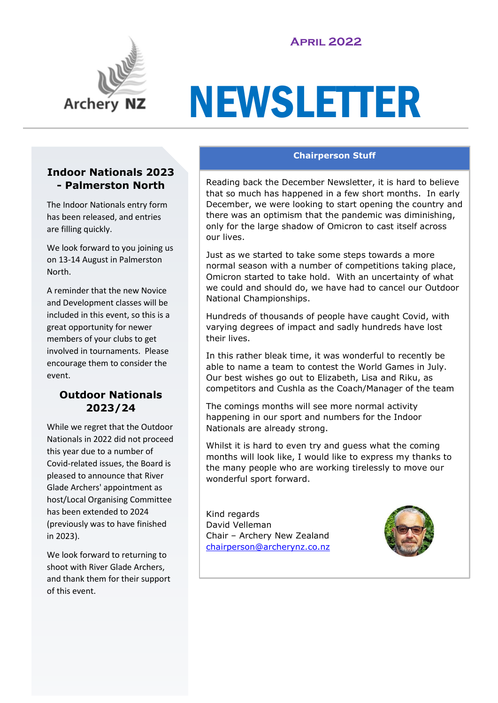# **April 2022**



# NEWSLETTER

#### **Indoor Nationals 2023 - Palmerston North**

The Indoor Nationals entry form has been released, and entries are filling quickly.

We look forward to you joining us on 13-14 August in Palmerston North.

A reminder that the new Novice and Development classes will be included in this event, so this is a great opportunity for newer members of your clubs to get involved in tournaments. Please encourage them to consider the event.

## **Outdoor Nationals 2023/24**

While we regret that the Outdoor Nationals in 2022 did not proceed this year due to a number of Covid-related issues, the Board is pleased to announce that River Glade Archers' appointment as host/Local Organising Committee has been extended to 2024 (previously was to have finished in 2023).

We look forward to returning to shoot with River Glade Archers, and thank them for their support of this event.

#### **Chairperson Stuff**

Reading back the December Newsletter, it is hard to believe that so much has happened in a few short months. In early December, we were looking to start opening the country and there was an optimism that the pandemic was diminishing, only for the large shadow of Omicron to cast itself across our lives.

Just as we started to take some steps towards a more normal season with a number of competitions taking place, Omicron started to take hold. With an uncertainty of what we could and should do, we have had to cancel our Outdoor National Championships.

Hundreds of thousands of people have caught Covid, with varying degrees of impact and sadly hundreds have lost their lives.

In this rather bleak time, it was wonderful to recently be able to name a team to contest the World Games in July. Our best wishes go out to Elizabeth, Lisa and Riku, as competitors and Cushla as the Coach/Manager of the team

The comings months will see more normal activity happening in our sport and numbers for the Indoor Nationals are already strong.

Whilst it is hard to even try and guess what the coming months will look like, I would like to express my thanks to the many people who are working tirelessly to move our wonderful sport forward.

Kind regards David Velleman Chair – Archery New Zealand [chairperson@archerynz.co.nz](mailto:chairperson@archerynz.co.nz)

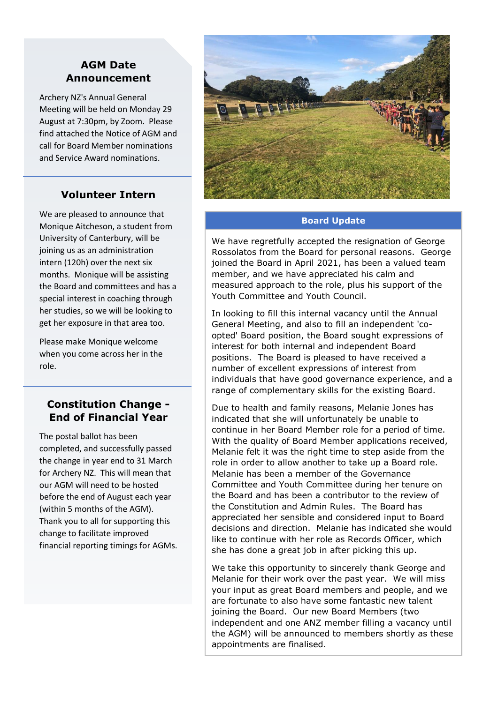### **AGM Date Announcement**

Archery NZ's Annual General Meeting will be held on Monday 29 August at 7:30pm, by Zoom. Please find attached the Notice of AGM and call for Board Member nominations and Service Award nominations.

## **Volunteer Intern**

We are pleased to announce that Monique Aitcheson, a student from University of Canterbury, will be joining us as an administration intern (120h) over the next six months. Monique will be assisting the Board and committees and has a special interest in coaching through her studies, so we will be looking to get her exposure in that area too.

Please make Monique welcome when you come across her in the role.

## **Constitution Change - End of Financial Year**

The postal ballot has been completed, and successfully passed the change in year end to 31 March for Archery NZ. This will mean that our AGM will need to be hosted before the end of August each year (within 5 months of the AGM). Thank you to all for supporting this change to facilitate improved financial reporting timings for AGMs.



#### **Board Update**

We have regretfully accepted the resignation of George Rossolatos from the Board for personal reasons. George joined the Board in April 2021, has been a valued team member, and we have appreciated his calm and measured approach to the role, plus his support of the Youth Committee and Youth Council.

In looking to fill this internal vacancy until the Annual General Meeting, and also to fill an independent 'coopted' Board position, the Board sought expressions of interest for both internal and independent Board positions. The Board is pleased to have received a number of excellent expressions of interest from individuals that have good governance experience, and a range of complementary skills for the existing Board.

Due to health and family reasons, Melanie Jones has indicated that she will unfortunately be unable to continue in her Board Member role for a period of time. With the quality of Board Member applications received, Melanie felt it was the right time to step aside from the role in order to allow another to take up a Board role. Melanie has been a member of the Governance Committee and Youth Committee during her tenure on the Board and has been a contributor to the review of the Constitution and Admin Rules. The Board has appreciated her sensible and considered input to Board decisions and direction. Melanie has indicated she would like to continue with her role as Records Officer, which she has done a great job in after picking this up.

We take this opportunity to sincerely thank George and Melanie for their work over the past year. We will miss your input as great Board members and people, and we are fortunate to also have some fantastic new talent joining the Board. Our new Board Members (two independent and one ANZ member filling a vacancy until the AGM) will be announced to members shortly as these appointments are finalised.